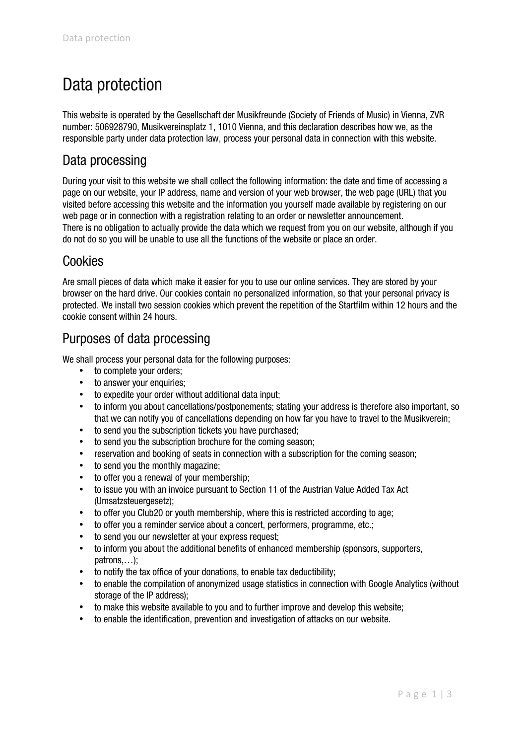# Data protection

This website is operated by the Gesellschaft der Musikfreunde (Society of Friends of Music) in Vienna, ZVR number: 506928790, Musikvereinsplatz 1, 1010 Vienna, and this declaration describes how we, as the responsible party under data protection law, process your personal data in connection with this website.

## Data processing

During your visit to this website we shall collect the following information: the date and time of accessing a page on our website, your IP address, name and version of your web browser, the web page (URL) that you visited before accessing this website and the information you yourself made available by registering on our web page or in connection with a registration relating to an order or newsletter announcement. There is no obligation to actually provide the data which we request from you on our website, although if you do not do so you will be unable to use all the functions of the website or place an order.

# Cookies

Are small pieces of data which make it easier for you to use our online services. They are stored by your browser on the hard drive. Our cookies contain no personalized information, so that your personal privacy is protected. We install two session cookies which prevent the repetition of the Startfilm within 12 hours and the cookie consent within 24 hours.

# Purposes of data processing

We shall process your personal data for the following purposes:

- to complete your orders;
- to answer your enquiries:
- to expedite your order without additional data input;
- to inform you about cancellations/postponements; stating your address is therefore also important, so that we can notify you of cancellations depending on how far you have to travel to the Musikverein;
- to send you the subscription tickets you have purchased;
- to send you the subscription brochure for the coming season:
- reservation and booking of seats in connection with a subscription for the coming season:
- to send you the monthly magazine;
- to offer you a renewal of your membership;
- to issue you with an invoice pursuant to Section 11 of the Austrian Value Added Tax Act (Umsatzsteuergesetz);
- to offer you Club20 or youth membership, where this is restricted according to age:
- to offer you a reminder service about a concert, performers, programme, etc.;
- to send you our newsletter at your express request;
- to inform you about the additional benefits of enhanced membership (sponsors, supporters, patrons,…);
- to notify the tax office of your donations, to enable tax deductibility;
- to enable the compilation of anonymized usage statistics in connection with Google Analytics (without storage of the IP address);
- to make this website available to you and to further improve and develop this website;
- to enable the identification, prevention and investigation of attacks on our website.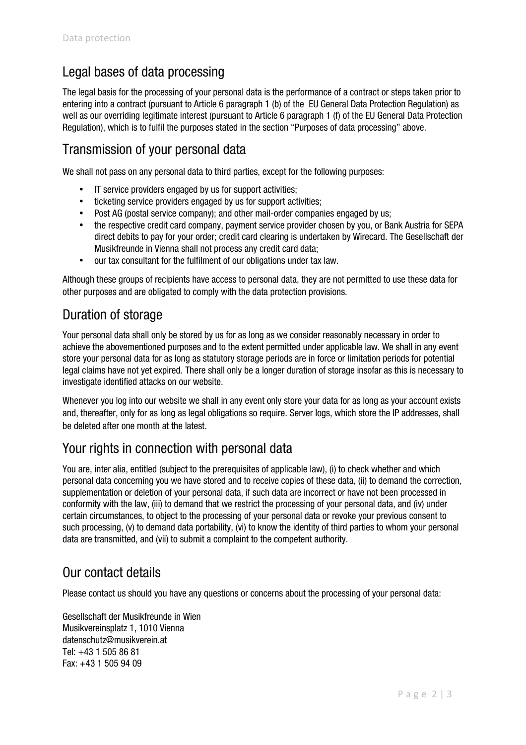## Legal bases of data processing

The legal basis for the processing of your personal data is the performance of a contract or steps taken prior to entering into a contract (pursuant to Article 6 paragraph 1 (b) of the EU General Data Protection Regulation) as well as our overriding legitimate interest (pursuant to Article 6 paragraph 1 (f) of the EU General Data Protection Regulation), which is to fulfil the purposes stated in the section "Purposes of data processing" above.

## Transmission of your personal data

We shall not pass on any personal data to third parties, except for the following purposes:

- IT service providers engaged by us for support activities;
- ticketing service providers engaged by us for support activities;
- Post AG (postal service company); and other mail-order companies engaged by us;
- the respective credit card company, payment service provider chosen by you, or Bank Austria for SEPA direct debits to pay for your order; credit card clearing is undertaken by Wirecard. The Gesellschaft der Musikfreunde in Vienna shall not process any credit card data;
- our tax consultant for the fulfilment of our obligations under tax law.

Although these groups of recipients have access to personal data, they are not permitted to use these data for other purposes and are obligated to comply with the data protection provisions.

#### Duration of storage

Your personal data shall only be stored by us for as long as we consider reasonably necessary in order to achieve the abovementioned purposes and to the extent permitted under applicable law. We shall in any event store your personal data for as long as statutory storage periods are in force or limitation periods for potential legal claims have not yet expired. There shall only be a longer duration of storage insofar as this is necessary to investigate identified attacks on our website.

Whenever you log into our website we shall in any event only store your data for as long as your account exists and, thereafter, only for as long as legal obligations so require. Server logs, which store the IP addresses, shall be deleted after one month at the latest.

#### Your rights in connection with personal data

You are, inter alia, entitled (subject to the prerequisites of applicable law), (i) to check whether and which personal data concerning you we have stored and to receive copies of these data, (ii) to demand the correction, supplementation or deletion of your personal data, if such data are incorrect or have not been processed in conformity with the law, (iii) to demand that we restrict the processing of your personal data, and (iv) under certain circumstances, to object to the processing of your personal data or revoke your previous consent to such processing, (v) to demand data portability, (vi) to know the identity of third parties to whom your personal data are transmitted, and (vii) to submit a complaint to the competent authority.

#### Our contact details

Please contact us should you have any questions or concerns about the processing of your personal data:

Gesellschaft der Musikfreunde in Wien Musikvereinsplatz 1, 1010 Vienna datenschutz@musikverein.at Tel: +43 1 505 86 81 Fax: +43 1 505 94 09